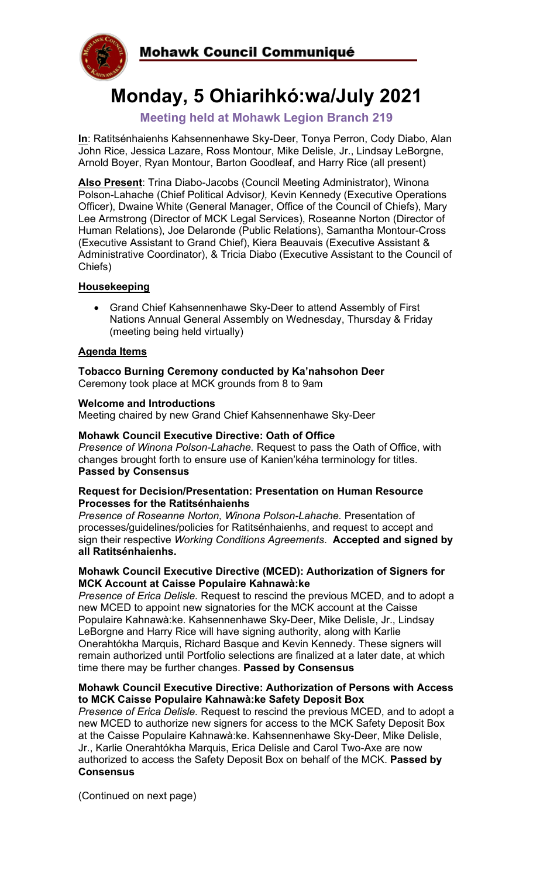

# **Monday, 5 Ohiarihkó:wa/July 2021**

# **Meeting held at Mohawk Legion Branch 219**

**In**: Ratitsénhaienhs Kahsennenhawe Sky-Deer, Tonya Perron, Cody Diabo, Alan John Rice, Jessica Lazare, Ross Montour, Mike Delisle, Jr., Lindsay LeBorgne, Arnold Boyer, Ryan Montour, Barton Goodleaf, and Harry Rice (all present)

**Also Present**: Trina Diabo-Jacobs (Council Meeting Administrator), Winona Polson-Lahache (Chief Political Advisor*),* Kevin Kennedy (Executive Operations Officer), Dwaine White (General Manager, Office of the Council of Chiefs), Mary Lee Armstrong (Director of MCK Legal Services), Roseanne Norton (Director of Human Relations), Joe Delaronde (Public Relations), Samantha Montour-Cross (Executive Assistant to Grand Chief), Kiera Beauvais (Executive Assistant & Administrative Coordinator), & Tricia Diabo (Executive Assistant to the Council of Chiefs)

# **Housekeeping**

• Grand Chief Kahsennenhawe Sky-Deer to attend Assembly of First Nations Annual General Assembly on Wednesday, Thursday & Friday (meeting being held virtually)

## **Agenda Items**

**Tobacco Burning Ceremony conducted by Ka'nahsohon Deer**  Ceremony took place at MCK grounds from 8 to 9am

#### **Welcome and Introductions**

Meeting chaired by new Grand Chief Kahsennenhawe Sky-Deer

#### **Mohawk Council Executive Directive: Oath of Office**

*Presence of Winona Polson-Lahache.* Request to pass the Oath of Office, with changes brought forth to ensure use of Kanien'kéha terminology for titles. **Passed by Consensus**

#### **Request for Decision/Presentation: Presentation on Human Resource Processes for the Ratitsénhaienhs**

*Presence of Roseanne Norton, Winona Polson-Lahache.* Presentation of processes/guidelines/policies for Ratitsénhaienhs, and request to accept and sign their respective *Working Conditions Agreements*. **Accepted and signed by all Ratitsénhaienhs.**

#### **Mohawk Council Executive Directive (MCED): Authorization of Signers for MCK Account at Caisse Populaire Kahnawà:ke**

*Presence of Erica Delisle.* Request to rescind the previous MCED, and to adopt a new MCED to appoint new signatories for the MCK account at the Caisse Populaire Kahnawà:ke. Kahsennenhawe Sky-Deer, Mike Delisle, Jr., Lindsay LeBorgne and Harry Rice will have signing authority, along with Karlie Onerahtókha Marquis, Richard Basque and Kevin Kennedy. These signers will remain authorized until Portfolio selections are finalized at a later date, at which time there may be further changes. **Passed by Consensus**

#### **Mohawk Council Executive Directive: Authorization of Persons with Access to MCK Caisse Populaire Kahnawà:ke Safety Deposit Box**

*Presence of Erica Delisle.* Request to rescind the previous MCED, and to adopt a new MCED to authorize new signers for access to the MCK Safety Deposit Box at the Caisse Populaire Kahnawà:ke. Kahsennenhawe Sky-Deer, Mike Delisle, Jr., Karlie Onerahtókha Marquis, Erica Delisle and Carol Two-Axe are now authorized to access the Safety Deposit Box on behalf of the MCK. **Passed by Consensus**

(Continued on next page)